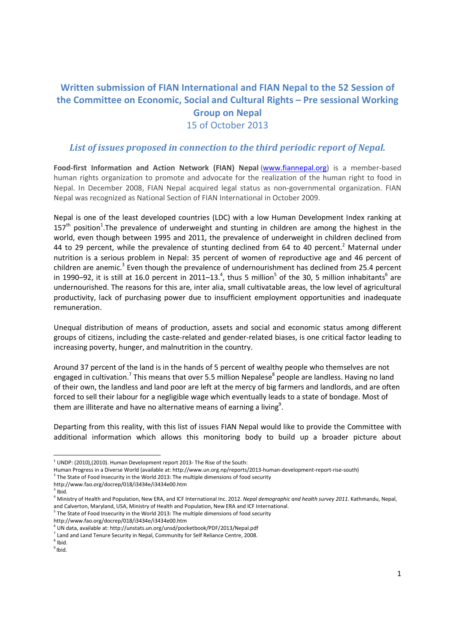# **Written submission of FIAN International and FIAN Nepal to the 52 Session of the Committee on Economic, Social and Cultural Rights – Pre sessional Working Group on Nepal**  15 of October 2013

### *List of issues proposed in connection to the third periodic report of Nepal.*

**Food-first Information and Action Network (FIAN) Nepal** (www.fiannepal.org) is a member-based human rights organization to promote and advocate for the realization of the human right to food in Nepal. In December 2008, FIAN Nepal acquired legal status as non-governmental organization. FIAN Nepal was recognized as National Section of FIAN International in October 2009.

Nepal is one of the least developed countries (LDC) with a low Human Development Index ranking at 157<sup>th</sup> position<sup>1</sup>. The prevalence of underweight and stunting in children are among the highest in the world, even though between 1995 and 2011, the prevalence of underweight in children declined from 44 to 29 percent, while the prevalence of stunting declined from 64 to 40 percent.<sup>2</sup> Maternal under nutrition is a serious problem in Nepal: 35 percent of women of reproductive age and 46 percent of children are anemic.<sup>3</sup> Even though the prevalence of undernourishment has declined from 25.4 percent in 1990–92, it is still at 16.0 percent in 2011–13.<sup>4</sup>, thus 5 million<sup>5</sup> of the 30, 5 million inhabitants<sup>6</sup> are undernourished. The reasons for this are, inter alia, small cultivatable areas, the low level of agricultural productivity, lack of purchasing power due to insufficient employment opportunities and inadequate remuneration.

Unequal distribution of means of production, assets and social and economic status among different groups of citizens, including the caste-related and gender-related biases, is one critical factor leading to increasing poverty, hunger, and malnutrition in the country.

Around 37 percent of the land is in the hands of 5 percent of wealthy people who themselves are not engaged in cultivation.<sup>7</sup> This means that over 5.5 million Nepalese<sup>8</sup> people are landless. Having no land of their own, the landless and land poor are left at the mercy of big farmers and landlords, and are often forced to sell their labour for a negligible wage which eventually leads to a state of bondage. Most of them are illiterate and have no alternative means of earning a living<sup>9</sup>.

Departing from this reality, with this list of issues FIAN Nepal would like to provide the Committee with additional information which allows this monitoring body to build up a broader picture about

<u>.</u>

http://www.fao.org/docrep/018/i3434e/i3434e00.htm

 $1$  UNDP: (2010), (2010). Human Development report 2013- The Rise of the South:

Human Progress in a Diverse World (available at: http://www.un.org.np/reports/2013-human-development-report-rise-south)

 $2$  The State of Food Insecurity in the World 2013: The multiple dimensions of food security

http://www.fao.org/docrep/018/i3434e/i3434e00.htm

 $3$  Ibid.

<sup>4</sup> Ministry of Health and Population, New ERA, and ICF International Inc. 2012. *Nepal demographic and health survey 2011*. Kathmandu, Nepal, and Calverton, Maryland, USA, Ministry of Health and Population, New ERA and ICF International.<br><sup>5</sup> The State of Food Insecurity in the World 2013: The multiple dimensions of food security

<sup>6</sup> UN data, available at: http://unstats.un.org/unsd/pocketbook/PDF/2013/Nepal.pdf

 $<sup>7</sup>$  Land and Land Tenure Security in Nepal, Community for Self Reliance Centre, 2008.</sup>

 $8$  Ibid.  $<sup>9</sup>$  Ibid.</sup>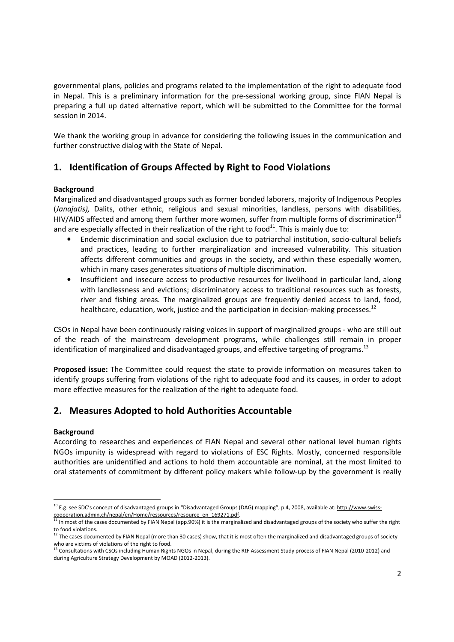governmental plans, policies and programs related to the implementation of the right to adequate food in Nepal. This is a preliminary information for the pre-sessional working group, since FIAN Nepal is preparing a full up dated alternative report, which will be submitted to the Committee for the formal session in 2014.

We thank the working group in advance for considering the following issues in the communication and further constructive dialog with the State of Nepal.

# **1. Identification of Groups Affected by Right to Food Violations**

### **Background**

Marginalized and disadvantaged groups such as former bonded laborers, majority of Indigenous Peoples (*Janajatis),* Dalits, other ethnic, religious and sexual minorities, landless, persons with disabilities, HIV/AIDS affected and among them further more women, suffer from multiple forms of discrimination<sup>10</sup> and are especially affected in their realization of the right to food $^{11}$ . This is mainly due to:

- Endemic discrimination and social exclusion due to patriarchal institution, socio-cultural beliefs and practices, leading to further marginalization and increased vulnerability. This situation affects different communities and groups in the society, and within these especially women, which in many cases generates situations of multiple discrimination.
- Insufficient and insecure access to productive resources for livelihood in particular land, along with landlessness and evictions; discriminatory access to traditional resources such as forests, river and fishing areas. The marginalized groups are frequently denied access to land, food, healthcare, education, work, justice and the participation in decision-making processes.<sup>12</sup>

CSOs in Nepal have been continuously raising voices in support of marginalized groups - who are still out of the reach of the mainstream development programs, while challenges still remain in proper identification of marginalized and disadvantaged groups, and effective targeting of programs.<sup>13</sup>

**Proposed issue:** The Committee could request the state to provide information on measures taken to identify groups suffering from violations of the right to adequate food and its causes, in order to adopt more effective measures for the realization of the right to adequate food.

## **2. Measures Adopted to hold Authorities Accountable**

#### **Background**

According to researches and experiences of FIAN Nepal and several other national level human rights NGOs impunity is widespread with regard to violations of ESC Rights. Mostly, concerned responsible authorities are unidentified and actions to hold them accountable are nominal, at the most limited to oral statements of commitment by different policy makers while follow-up by the government is really

<sup>&</sup>lt;u>.</u> <sup>10</sup> E.g. see SDC's concept of disadvantaged groups in "Disadvantaged Groups (DAG) mapping", p.4, 2008, available at: http://www.swisscooperation.admin.ch/nepal/en/Home/ressources/resource\_en\_169271.pdf.

<sup>11</sup> In most of the cases documented by FIAN Nepal (app.90%) it is the marginalized and disadvantaged groups of the society who suffer the right to food violations.

<sup>&</sup>lt;sup>12</sup> The cases documented by FIAN Nepal (more than 30 cases) show, that it is most often the marginalized and disadvantaged groups of society

who are victims of violations of the right to food.<br><sup>13</sup> Consultations with CSOs including Human Rights NGOs in Nepal, during the RtF Assessment Study process of FIAN Nepal (2010-2012) and during Agriculture Strategy Development by MOAD (2012-2013).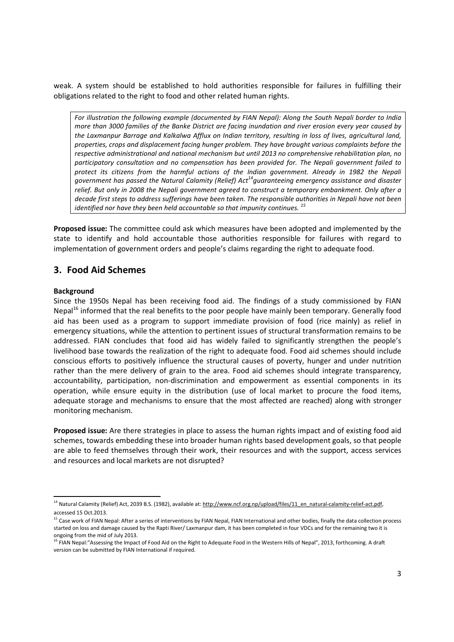weak. A system should be established to hold authorities responsible for failures in fulfilling their obligations related to the right to food and other related human rights.

*For illustration the following example (documented by FIAN Nepal): Along the South Nepali border to India more than 3000 families of the Banke District are facing inundation and river erosion every year caused by the Laxmanpur Barrage and Kalkalwa Afflux on Indian territory, resulting in loss of lives, agricultural land, properties, crops and displacement facing hunger problem. They have brought various complaints before the respective administrational and national mechanism but until 2013 no comprehensive rehabilitation plan, no participatory consultation and no compensation has been provided for. The Nepali government failed to protect its citizens from the harmful actions of the Indian government. Already in 1982 the Nepali government has passed the Natural Calamity (Relief) Act<sup>14</sup>guaranteeing emergency assistance and disaster relief. But only in 2008 the Nepali government agreed to construct a temporary embankment. Only after a decade first steps to address sufferings have been taken. The responsible authorities in Nepali have not been identified nor have they been held accountable so that impunity continues.* <sup>15</sup>

**Proposed issue:** The committee could ask which measures have been adopted and implemented by the state to identify and hold accountable those authorities responsible for failures with regard to implementation of government orders and people's claims regarding the right to adequate food.

### **3. Food Aid Schemes**

#### **Background**

<u>.</u>

Since the 1950s Nepal has been receiving food aid. The findings of a study commissioned by FIAN Nepal<sup>16</sup> informed that the real benefits to the poor people have mainly been temporary. Generally food aid has been used as a program to support immediate provision of food (rice mainly) as relief in emergency situations, while the attention to pertinent issues of structural transformation remains to be addressed. FIAN concludes that food aid has widely failed to significantly strengthen the people's livelihood base towards the realization of the right to adequate food. Food aid schemes should include conscious efforts to positively influence the structural causes of poverty, hunger and under nutrition rather than the mere delivery of grain to the area. Food aid schemes should integrate transparency, accountability, participation, non-discrimination and empowerment as essential components in its operation, while ensure equity in the distribution (use of local market to procure the food items, adequate storage and mechanisms to ensure that the most affected are reached) along with stronger monitoring mechanism.

**Proposed issue:** Are there strategies in place to assess the human rights impact and of existing food aid schemes, towards embedding these into broader human rights based development goals, so that people are able to feed themselves through their work, their resources and with the support, access services and resources and local markets are not disrupted?

<sup>&</sup>lt;sup>14</sup> Natural Calamity (Relief) Act, 2039 B.S. (1982), available at: http://www.ncf.org.np/upload/files/11\_en\_natural-calamity-relief-act.pdf, accessed 15 Oct.2013.

<sup>&</sup>lt;sup>15</sup> Case work of FIAN Nepal: After a series of interventions by FIAN Nepal, FIAN International and other bodies, finally the data collection process started on loss and damage caused by the Rapti River/ Laxmanpur dam, it has been completed in four VDCs and for the remaining two it is ongoing from the mid of July 2013.

<sup>&</sup>lt;sup>16</sup> FIAN Nepal:"Assessing the Impact of Food Aid on the Right to Adequate Food in the Western Hills of Nepal", 2013, forthcoming. A draft version can be submitted by FIAN International if required.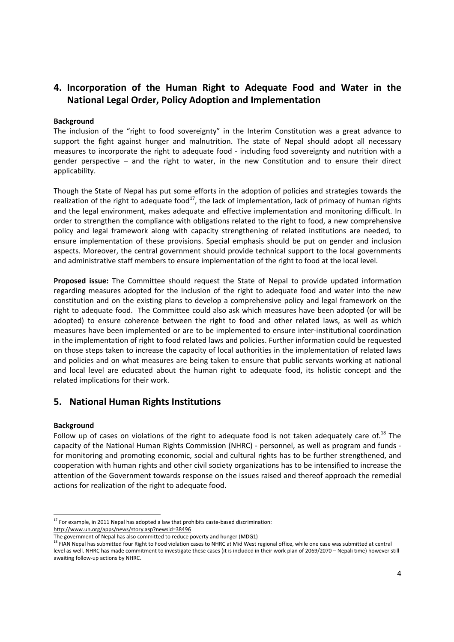# **4. Incorporation of the Human Right to Adequate Food and Water in the National Legal Order, Policy Adoption and Implementation**

#### **Background**

The inclusion of the "right to food sovereignty" in the Interim Constitution was a great advance to support the fight against hunger and malnutrition. The state of Nepal should adopt all necessary measures to incorporate the right to adequate food - including food sovereignty and nutrition with a gender perspective – and the right to water, in the new Constitution and to ensure their direct applicability.

Though the State of Nepal has put some efforts in the adoption of policies and strategies towards the realization of the right to adequate food<sup>17</sup>, the lack of implementation, lack of primacy of human rights and the legal environment, makes adequate and effective implementation and monitoring difficult. In order to strengthen the compliance with obligations related to the right to food, a new comprehensive policy and legal framework along with capacity strengthening of related institutions are needed, to ensure implementation of these provisions. Special emphasis should be put on gender and inclusion aspects. Moreover, the central government should provide technical support to the local governments and administrative staff members to ensure implementation of the right to food at the local level.

**Proposed issue:** The Committee should request the State of Nepal to provide updated information regarding measures adopted for the inclusion of the right to adequate food and water into the new constitution and on the existing plans to develop a comprehensive policy and legal framework on the right to adequate food. The Committee could also ask which measures have been adopted (or will be adopted) to ensure coherence between the right to food and other related laws, as well as which measures have been implemented or are to be implemented to ensure inter-institutional coordination in the implementation of right to food related laws and policies. Further information could be requested on those steps taken to increase the capacity of local authorities in the implementation of related laws and policies and on what measures are being taken to ensure that public servants working at national and local level are educated about the human right to adequate food, its holistic concept and the related implications for their work.

### **5. National Human Rights Institutions**

#### **Background**

Follow up of cases on violations of the right to adequate food is not taken adequately care of.<sup>18</sup> The capacity of the National Human Rights Commission (NHRC) - personnel, as well as program and funds for monitoring and promoting economic, social and cultural rights has to be further strengthened, and cooperation with human rights and other civil society organizations has to be intensified to increase the attention of the Government towards response on the issues raised and thereof approach the remedial actions for realization of the right to adequate food.

<sup>&</sup>lt;u>.</u>  $17$  For example, in 2011 Nepal has adopted a law that prohibits caste-based discrimination: http://www.un.org/apps/news/story.asp?newsid=38496

The government of Nepal has also committed to reduce poverty and hunger (MDG1)<br><sup>18</sup> FIAN Nepal has submitted four Right to Food violation cases to NHRC at Mid West regional office, while one case was submitted at central level as well. NHRC has made commitment to investigate these cases (it is included in their work plan of 2069/2070 – Nepali time) however still awaiting follow-up actions by NHRC.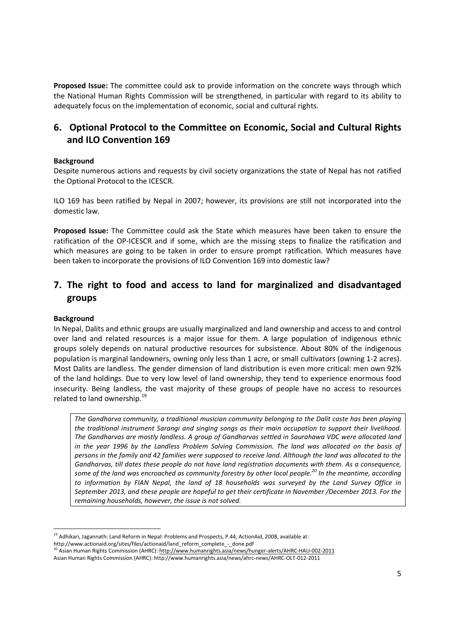**Proposed Issue:** The committee could ask to provide information on the concrete ways through which the National Human Rights Commission will be strengthened, in particular with regard to its ability to adequately focus on the implementation of economic, social and cultural rights.

# **6. Optional Protocol to the Committee on Economic, Social and Cultural Rights and ILO Convention 169**

#### **Background**

Despite numerous actions and requests by civil society organizations the state of Nepal has not ratified the Optional Protocol to the ICESCR.

ILO 169 has been ratified by Nepal in 2007; however, its provisions are still not incorporated into the domestic law.

**Proposed Issue:** The Committee could ask the State which measures have been taken to ensure the ratification of the OP-ICESCR and if some, which are the missing steps to finalize the ratification and which measures are going to be taken in order to ensure prompt ratification. Which measures have been taken to incorporate the provisions of ILO Convention 169 into domestic law?

# **7. The right to food and access to land for marginalized and disadvantaged groups**

### **Background**

In Nepal, Dalits and ethnic groups are usually marginalized and land ownership and access to and control over land and related resources is a major issue for them. A large population of indigenous ethnic groups solely depends on natural productive resources for subsistence. About 80% of the indigenous population is marginal landowners, owning only less than 1 acre, or small cultivators (owning 1-2 acres). Most Dalits are landless. The gender dimension of land distribution is even more critical: men own 92% of the land holdings. Due to very low level of land ownership, they tend to experience enormous food insecurity. Being landless, the vast majority of these groups of people have no access to resources related to land ownership.<sup>19</sup>

*The Gandharva community, a traditional musician community belonging to the Dalit caste has been playing the traditional instrument Sarangi and singing songs as their main occupation to support their livelihood. The Gandharvas are mostly landless. A group of Gandharvas settled in Saurahawa VDC were allocated land in the year 1996 by the Landless Problem Solving Commission. The land was allocated on the basis of persons in the family and 42 families were supposed to receive land. Although the land was allocated to the Gandharvas, till dates these people do not have land registration documents with them. As a consequence, some of the land was encroached as community forestry by other local people.<sup>20</sup> In the meantime, according*  to information by FIAN Nepal, the land of 18 households was surveyed by the Land Survey Office in *September 2013, and these people are hopeful to get their certificate in November /December 2013. For the remaining households, however, the issue is not solved.* 

<u>.</u> <sup>19</sup> Adhikari, Jagannath: Land Reform in Nepal: Problems and Prospects, P.44, ActionAid, 2008, available at:

http://www.actionaid.org/sites/files/actionaid/land\_reform\_complete\_-\_done.pdf<br><sup>20</sup> Asian Human Rights Commission (AHRC): <u>http://www.humanrights.asia/news/hunge</u>r-alerts/AHRC-HAU-002-2011

Asian Human Rights Commission (AHRC): http://www.humanrights.asia/news/ahrc-news/AHRC-OLT-012-2011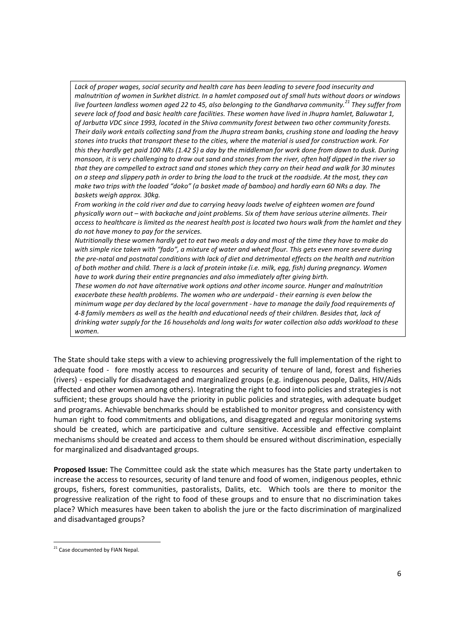*Lack of proper wages, social security and health care has been leading to severe food insecurity and malnutrition of women in Surkhet district. In a hamlet composed out of small huts without doors or windows live fourteen landless women aged 22 to 45, also belonging to the Gandharva community.<sup>21</sup> They suffer from severe lack of food and basic health care facilities. These women have lived in Jhupra hamlet, Baluwatar 1, of Jarbutta VDC since 1993, located in the Shiva community forest between two other community forests. Their daily work entails collecting sand from the Jhupra stream banks, crushing stone and loading the heavy stones into trucks that transport these to the cities, where the material is used for construction work. For this they hardly get paid 100 NRs (1.42 \$) a day by the middleman for work done from dawn to dusk. During monsoon, it is very challenging to draw out sand and stones from the river, often half dipped in the river so that they are compelled to extract sand and stones which they carry on their head and walk for 30 minutes on a steep and slippery path in order to bring the load to the truck at the roadside. At the most, they can make two trips with the loaded "doko" (a basket made of bamboo) and hardly earn 60 NRs a day. The baskets weigh approx. 30kg.* 

*From working in the cold river and due to carrying heavy loads twelve of eighteen women are found physically worn out – with backache and joint problems. Six of them have serious uterine ailments. Their access to healthcare is limited as the nearest health post is located two hours walk from the hamlet and they do not have money to pay for the services.* 

*Nutritionally these women hardly get to eat two meals a day and most of the time they have to make do with simple rice taken with "fado", a mixture of water and wheat flour. This gets even more severe during the pre-natal and postnatal conditions with lack of diet and detrimental effects on the health and nutrition of both mother and child. There is a lack of protein intake (i.e. milk, egg, fish) during pregnancy. Women have to work during their entire pregnancies and also immediately after giving birth.* 

*These women do not have alternative work options and other income source. Hunger and malnutrition exacerbate these health problems. The women who are underpaid - their earning is even below the minimum wage per day declared by the local government - have to manage the daily food requirements of 4-8 family members as well as the health and educational needs of their children. Besides that, lack of drinking water supply for the 16 households and long waits for water collection also adds workload to these women.* 

The State should take steps with a view to achieving progressively the full implementation of the right to adequate food - fore mostly access to resources and security of tenure of land, forest and fisheries (rivers) - especially for disadvantaged and marginalized groups (e.g. indigenous people, Dalits, HIV/Aids affected and other women among others). Integrating the right to food into policies and strategies is not sufficient; these groups should have the priority in public policies and strategies, with adequate budget and programs. Achievable benchmarks should be established to monitor progress and consistency with human right to food commitments and obligations, and disaggregated and regular monitoring systems should be created, which are participative and culture sensitive. Accessible and effective complaint mechanisms should be created and access to them should be ensured without discrimination, especially for marginalized and disadvantaged groups.

**Proposed Issue:** The Committee could ask the state which measures has the State party undertaken to increase the access to resources, security of land tenure and food of women, indigenous peoples, ethnic groups, fishers, forest communities, pastoralists, Dalits, etc. Which tools are there to monitor the progressive realization of the right to food of these groups and to ensure that no discrimination takes place? Which measures have been taken to abolish the jure or the facto discrimination of marginalized and disadvantaged groups?

<u>.</u>

<sup>&</sup>lt;sup>21</sup> Case documented by FIAN Nepal.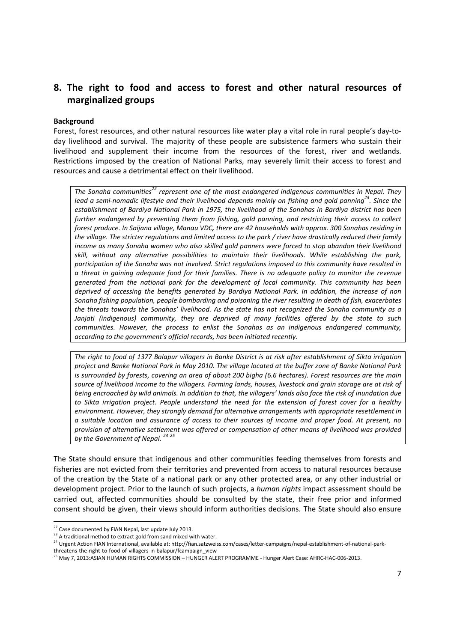# **8. The right to food and access to forest and other natural resources of marginalized groups**

#### **Background**

Forest, forest resources, and other natural resources like water play a vital role in rural people's day-today livelihood and survival. The majority of these people are subsistence farmers who sustain their livelihood and supplement their income from the resources of the forest, river and wetlands. Restrictions imposed by the creation of National Parks, may severely limit their access to forest and resources and cause a detrimental effect on their livelihood.

*The Sonaha communities<sup>22</sup> represent one of the most endangered indigenous communities in Nepal. They lead a semi-nomadic lifestyle and their livelihood depends mainly on fishing and gold panning<sup>23</sup>. Since the establishment of Bardiya National Park in 1975, the livelihood of the Sonahas in Bardiya district has been further endangered by preventing them from fishing, gold panning, and restricting their access to collect forest produce. In Saijana village, Manau VDC, there are 42 households with approx. 300 Sonahas residing in the village. The stricter regulations and limited access to the park / river have drastically reduced their family income as many Sonaha women who also skilled gold panners were forced to stop abandon their livelihood skill, without any alternative possibilities to maintain their livelihoods. While establishing the park, participation of the Sonaha was not involved. Strict regulations imposed to this community have resulted in a threat in gaining adequate food for their families. There is no adequate policy to monitor the revenue generated from the national park for the development of local community. This community has been deprived of accessing the benefits generated by Bardiya National Park. In addition, the increase of non Sonaha fishing population, people bombarding and poisoning the river resulting in death of fish, exacerbates the threats towards the Sonahas' livelihood. As the state has not recognized the Sonaha community as a Janjati (indigenous) community, they are deprived of many facilities offered by the state to such communities. However, the process to enlist the Sonahas as an indigenous endangered community, according to the government's official records, has been initiated recently.* 

*The right to food of 1377 Balapur villagers in Banke District is at risk after establishment of Sikta irrigation project and Banke National Park in May 2010. The village located at the buffer zone of Banke National Park is surrounded by forests, covering an area of about 200 bigha (6.6 hectares). Forest resources are the main source of livelihood income to the villagers. Farming lands, houses, livestock and grain storage are at risk of being encroached by wild animals. In addition to that, the villagers' lands also face the risk of inundation due to Sikta irrigation project. People understand the need for the extension of forest cover for a healthy environment. However, they strongly demand for alternative arrangements with appropriate resettlement in a suitable location and assurance of access to their sources of income and proper food. At present, no provision of alternative settlement was offered or compensation of other means of livelihood was provided by the Government of Nepal. <sup>24</sup> <sup>25</sup>*

The State should ensure that indigenous and other communities feeding themselves from forests and fisheries are not evicted from their territories and prevented from access to natural resources because of the creation by the State of a national park or any other protected area, or any other industrial or development project. Prior to the launch of such projects, a *human rights* impact assessment should be carried out, affected communities should be consulted by the state, their free prior and informed consent should be given, their views should inform authorities decisions. The State should also ensure

.<br>-

<sup>&</sup>lt;sup>22</sup> Case documented by FIAN Nepal, last update July 2013.

 $23$  A traditional method to extract gold from sand mixed with water.

<sup>24</sup> Urgent Action FIAN International, available at: http://fian.satzweiss.com/cases/letter-campaigns/nepal-establishment-of-national-parkthreatens-the-right-to-food-of-villagers-in-balapur/fcampaign\_view

<sup>&</sup>lt;sup>25</sup> May 7, 2013:ASIAN HUMAN RIGHTS COMMISSION – HUNGER ALERT PROGRAMME - Hunger Alert Case: AHRC-HAC-006-2013.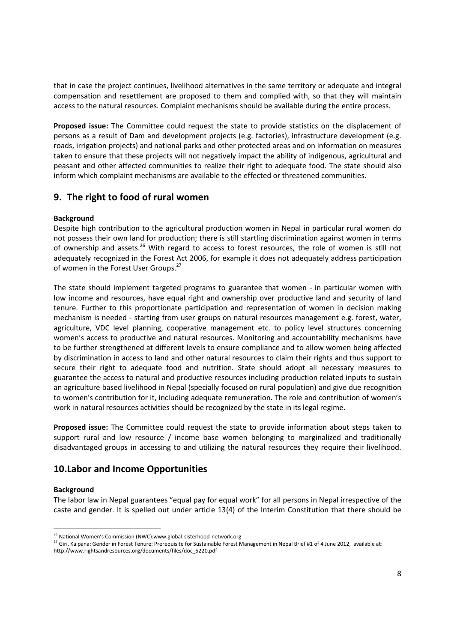that in case the project continues, livelihood alternatives in the same territory or adequate and integral compensation and resettlement are proposed to them and complied with, so that they will maintain access to the natural resources. Complaint mechanisms should be available during the entire process.

**Proposed issue:** The Committee could request the state to provide statistics on the displacement of persons as a result of Dam and development projects (e.g. factories), infrastructure development (e.g. roads, irrigation projects) and national parks and other protected areas and on information on measures taken to ensure that these projects will not negatively impact the ability of indigenous, agricultural and peasant and other affected communities to realize their right to adequate food. The state should also inform which complaint mechanisms are available to the effected or threatened communities.

## **9. The right to food of rural women**

### **Background**

Despite high contribution to the agricultural production women in Nepal in particular rural women do not possess their own land for production; there is still startling discrimination against women in terms of ownership and assets.<sup>26</sup> With regard to access to forest resources, the role of women is still not adequately recognized in the Forest Act 2006, for example it does not adequately address participation of women in the Forest User Groups.<sup>27</sup>

The state should implement targeted programs to guarantee that women - in particular women with low income and resources, have equal right and ownership over productive land and security of land tenure. Further to this proportionate participation and representation of women in decision making mechanism is needed - starting from user groups on natural resources management e.g. forest, water, agriculture, VDC level planning, cooperative management etc. to policy level structures concerning women's access to productive and natural resources. Monitoring and accountability mechanisms have to be further strengthened at different levels to ensure compliance and to allow women being affected by discrimination in access to land and other natural resources to claim their rights and thus support to secure their right to adequate food and nutrition. State should adopt all necessary measures to guarantee the access to natural and productive resources including production related inputs to sustain an agriculture based livelihood in Nepal (specially focused on rural population) and give due recognition to women's contribution for it, including adequate remuneration. The role and contribution of women's work in natural resources activities should be recognized by the state in its legal regime.

**Proposed issue:** The Committee could request the state to provide information about steps taken to support rural and low resource / income base women belonging to marginalized and traditionally disadvantaged groups in accessing to and utilizing the natural resources they require their livelihood.

### **10.Labor and Income Opportunities**

#### **Background**

<u>.</u>

The labor law in Nepal guarantees "equal pay for equal work" for all persons in Nepal irrespective of the caste and gender. It is spelled out under article 13(4) of the Interim Constitution that there should be

<sup>&</sup>lt;sup>26</sup> National Women's Commission (NWC):www.global-sisterhood-network.org

<sup>27</sup> Giri, Kalpana: Gender in Forest Tenure: Prerequisite for Sustainable Forest Management in Nepal Brief #1 of 4 June 2012, available at: http://www.rightsandresources.org/documents/files/doc\_5220.pdf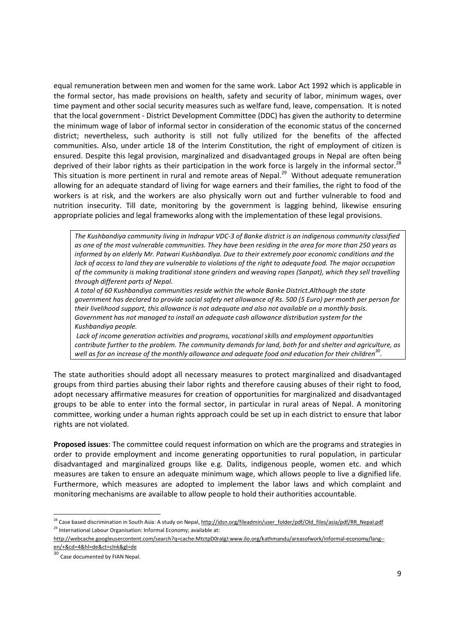equal remuneration between men and women for the same work. Labor Act 1992 which is applicable in the formal sector, has made provisions on health, safety and security of labor, minimum wages, over time payment and other social security measures such as welfare fund, leave, compensation. It is noted that the local government - District Development Committee (DDC) has given the authority to determine the minimum wage of labor of informal sector in consideration of the economic status of the concerned district; nevertheless, such authority is still not fully utilized for the benefits of the affected communities. Also, under article 18 of the Interim Constitution, the right of employment of citizen is ensured. Despite this legal provision, marginalized and disadvantaged groups in Nepal are often being deprived of their labor rights as their participation in the work force is largely in the informal sector.<sup>28</sup> This situation is more pertinent in rural and remote areas of Nepal.<sup>29</sup> Without adequate remuneration allowing for an adequate standard of living for wage earners and their families, the right to food of the workers is at risk, and the workers are also physically worn out and further vulnerable to food and nutrition insecurity. Till date, monitoring by the government is lagging behind, likewise ensuring appropriate policies and legal frameworks along with the implementation of these legal provisions.

*The Kushbandiya community living in Indrapur VDC-3 of Banke district is an indigenous community classified as one of the most vulnerable communities. They have been residing in the area for more than 250 years as informed by an elderly Mr. Patwari Kushbandiya. Due to their extremely poor economic conditions and the lack of access to land they are vulnerable to violations of the right to adequate food. The major occupation of the community is making traditional stone grinders and weaving ropes (Sanpat), which they sell travelling through different parts of Nepal.* 

*A total of 60 Kushbandiya communities reside within the whole Banke District.Although the state government has declared to provide social safety net allowance of Rs. 500 (5 Euro) per month per person for their livelihood support, this allowance is not adequate and also not available on a monthly basis. Government has not managed to install an adequate cash allowance distribution system for the Kushbandiya people.* 

 *Lack of income generation activities and programs, vocational skills and employment opportunities contribute further to the problem. The community demands for land, both for and shelter and agriculture, as well as for an increase of the monthly allowance and adequate food and education for their children<sup>30</sup> .* 

The state authorities should adopt all necessary measures to protect marginalized and disadvantaged groups from third parties abusing their labor rights and therefore causing abuses of their right to food, adopt necessary affirmative measures for creation of opportunities for marginalized and disadvantaged groups to be able to enter into the formal sector, in particular in rural areas of Nepal. A monitoring committee, working under a human rights approach could be set up in each district to ensure that labor rights are not violated.

**Proposed issues**: The committee could request information on which are the programs and strategies in order to provide employment and income generating opportunities to rural population, in particular disadvantaged and marginalized groups like e.g. Dalits, indigenous people, women etc. and which measures are taken to ensure an adequate minimum wage, which allows people to live a dignified life. Furthermore, which measures are adopted to implement the labor laws and which complaint and monitoring mechanisms are available to allow people to hold their authorities accountable.

<u>.</u>

<sup>&</sup>lt;sup>28</sup> Case based discrimination in South Asia: A study on Nepal, http://idsn.org/fileadmin/user\_folder/pdf/Old\_files/asia/pdf/RR\_Nepal.pdf  $29$  International Labour Organisation: Informal Economy; available at:

http://webcache.googleusercontent.com/search?q=cache:MtctpD0raIgJ:www.ilo.org/kathmandu/areasofwork/informal-economy/lang- en/+&cd=4&hl=de&ct=clnk&gl=de

<sup>30</sup> Case documented by FIAN Nepal.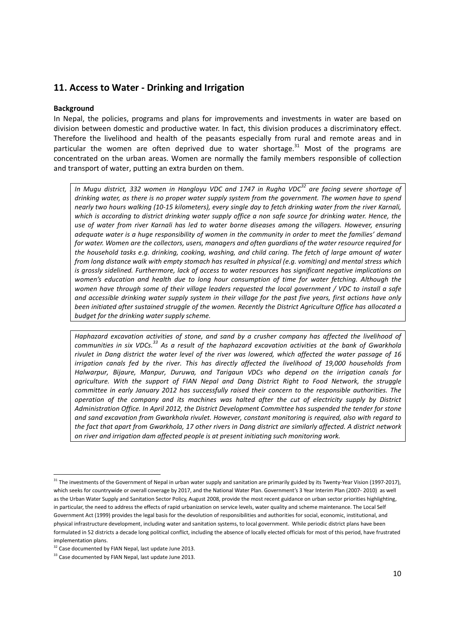### **11. Access to Water - Drinking and Irrigation**

#### **Background**

In Nepal, the policies, programs and plans for improvements and investments in water are based on division between domestic and productive water. In fact, this division produces a discriminatory effect. Therefore the livelihood and health of the peasants especially from rural and remote areas and in particular the women are often deprived due to water shortage. $31$  Most of the programs are concentrated on the urban areas. Women are normally the family members responsible of collection and transport of water, putting an extra burden on them.

*In Mugu district, 332 women in Hangloyu VDC and 1747 in Rugha VDC<sup>32</sup> are facing severe shortage of drinking water, as there is no proper water supply system from the government. The women have to spend nearly two hours walking (10-15 kilometers), every single day to fetch drinking water from the river Karnali, which is according to district drinking water supply office a non safe source for drinking water. Hence, the use of water from river Karnali has led to water borne diseases among the villagers. However, ensuring adequate water is a huge responsibility of women in the community in order to meet the families' demand for water. Women are the collectors, users, managers and often guardians of the water resource required for the household tasks e.g. drinking, cooking, washing, and child caring. The fetch of large amount of water from long distance walk with empty stomach has resulted in physical (e.g. vomiting) and mental stress which is grossly sidelined. Furthermore, lack of access to water resources has significant negative implications on women's education and health due to long hour consumption of time for water fetching. Although the women have through some of their village leaders requested the local government / VDC to install a safe and accessible drinking water supply system in their village for the past five years, first actions have only been initiated after sustained struggle of the women. Recently the District Agriculture Office has allocated a budget for the drinking water supply scheme.* 

*Haphazard excavation activities of stone, and sand by a crusher company has affected the livelihood of communities in six VDCs.<sup>33</sup> As a result of the haphazard excavation activities at the bank of Gwarkhola rivulet in Dang district the water level of the river was lowered, which affected the water passage of 16 irrigation canals fed by the river. This has directly affected the livelihood of 19,000 households from Halwarpur, Bijaure, Manpur, Duruwa, and Tarigaun VDCs who depend on the irrigation canals for*  agriculture. With the support of FIAN Nepal and Dang District Right to Food Network, the struggle *committee in early January 2012 has successfully raised their concern to the responsible authorities. The operation of the company and its machines was halted after the cut of electricity supply by District Administration Office. In April 2012, the District Development Committee has suspended the tender for stone and sand excavation from Gwarkhola rivulet. However, constant monitoring is required, also with regard to the fact that apart from Gwarkhola, 17 other rivers in Dang district are similarly affected. A district network on river and irrigation dam affected people is at present initiating such monitoring work.*

.<br>-

<sup>&</sup>lt;sup>31</sup> The investments of the Government of Nepal in urban water supply and sanitation are primarily guided by its Twenty-Year Vision (1997-2017), which seeks for countrywide or overall coverage by 2017, and the National Water Plan. Government's 3 Year Interim Plan (2007- 2010) as well as the Urban Water Supply and Sanitation Sector Policy, August 2008, provide the most recent guidance on urban sector priorities highlighting, in particular, the need to address the effects of rapid urbanization on service levels, water quality and scheme maintenance. The Local Self Government Act (1999) provides the legal basis for the devolution of responsibilities and authorities for social, economic, institutional, and physical infrastructure development, including water and sanitation systems, to local government. While periodic district plans have been formulated in 52 districts a decade long political conflict, including the absence of locally elected officials for most of this period, have frustrated implementation plans.

<sup>&</sup>lt;sup>32</sup> Case documented by FIAN Nepal, last update June 2013.

<sup>&</sup>lt;sup>33</sup> Case documented by FIAN Nepal, last update June 2013.